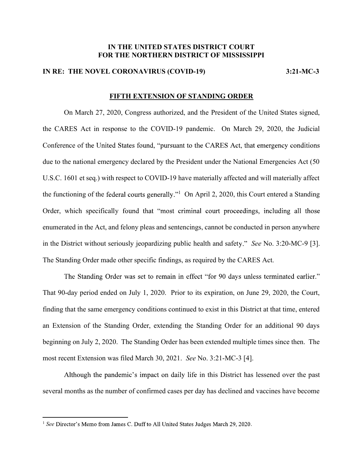## IN THE UNITED STATES DISTRICT COURT FOR THE NORTHERN DISTRICT OF MISSISSIPPI

## IN RE: THE NOVEL CORONAVIRUS (COVID-19) 3:21-MC-3

## FIFTH EXTENSION OF STANDING ORDER

 On March 27, 2020, Congress authorized, and the President of the United States signed, the CARES Act in response to the COVID-19 pandemic. On March 29, 2020, the Judicial Conference of the United States found, "pursuant to the CARES Act, that emergency conditions due to the national emergency declared by the President under the National Emergencies Act (50 U.S.C. 1601 et seq.) with respect to COVID-19 have materially affected and will materially affect the functioning of the federal courts generally."<sup>1</sup> On April 2, 2020, this Court entered a Standing Order, which specifically found that "most criminal court proceedings, including all those enumerated in the Act, and felony pleas and sentencings, cannot be conducted in person anywhere in the District without seriously jeopardizing public health and safety." See No.  $3:20$ -MC-9 [3]. The Standing Order made other specific findings, as required by the CARES Act.

The Standing Order was set to remain in effect "for 90 days unless terminated earlier." That 90-day period ended on July 1, 2020. Prior to its expiration, on June 29, 2020, the Court, finding that the same emergency conditions continued to exist in this District at that time, entered an Extension of the Standing Order, extending the Standing Order for an additional 90 days beginning on July 2, 2020. The Standing Order has been extended multiple times since then. The most recent Extension was filed March 30, 2021. See No. 3:21-MC-3 [4].

Although the pandemic's impact on daily life in this District has lessened over the past several months as the number of confirmed cases per day has declined and vaccines have become

 $1$  See Director's Memo from James C. Duff to All United States Judges March 29, 2020.